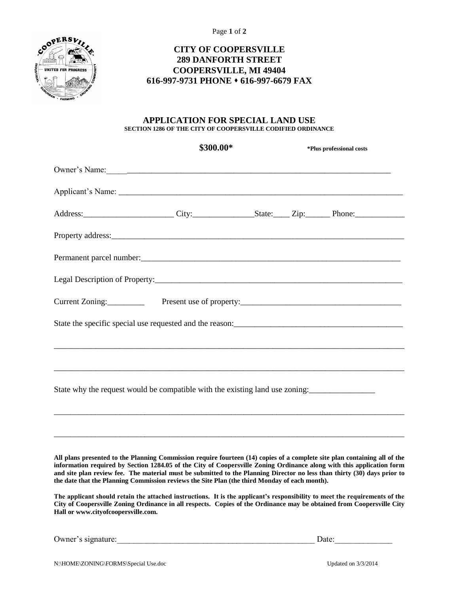Page **1** of **2**



# **CITY OF COOPERSVILLE 289 DANFORTH STREET COOPERSVILLE, MI 49404 616-997-9731 PHONE 616-997-6679 FAX**

## **APPLICATION FOR SPECIAL LAND USE SECTION 1286 OF THE CITY OF COOPERSVILLE CODIFIED ORDINANCE**

|                                                                                           | \$300.00*                                                                         |  | *Plus professional costs |  |  |  |
|-------------------------------------------------------------------------------------------|-----------------------------------------------------------------------------------|--|--------------------------|--|--|--|
|                                                                                           |                                                                                   |  |                          |  |  |  |
|                                                                                           |                                                                                   |  |                          |  |  |  |
| Address: City: City: State: Zip: Phone: Phone:                                            |                                                                                   |  |                          |  |  |  |
|                                                                                           |                                                                                   |  |                          |  |  |  |
| Permanent parcel number:                                                                  |                                                                                   |  |                          |  |  |  |
|                                                                                           |                                                                                   |  |                          |  |  |  |
| Current Zoning: Present use of property:                                                  |                                                                                   |  |                          |  |  |  |
| State the specific special use requested and the reason:<br><u>Letter and the reason:</u> |                                                                                   |  |                          |  |  |  |
|                                                                                           |                                                                                   |  |                          |  |  |  |
|                                                                                           | ,我们也不能在这里的,我们也不能在这里的,我们也不能在这里的,我们也不能不能不能不能不能不能不能不能不能不能。""我们,我们也不能不能不能不能不能不能不能不能不能 |  |                          |  |  |  |
| State why the request would be compatible with the existing land use zoning:              |                                                                                   |  |                          |  |  |  |
|                                                                                           |                                                                                   |  |                          |  |  |  |

**All plans presented to the Planning Commission require fourteen (14) copies of a complete site plan containing all of the information required by Section 1284.05 of the City of Coopersville Zoning Ordinance along with this application form and site plan review fee. The material must be submitted to the Planning Director no less than thirty (30) days prior to the date that the Planning Commission reviews the Site Plan (the third Monday of each month).**

\_\_\_\_\_\_\_\_\_\_\_\_\_\_\_\_\_\_\_\_\_\_\_\_\_\_\_\_\_\_\_\_\_\_\_\_\_\_\_\_\_\_\_\_\_\_\_\_\_\_\_\_\_\_\_\_\_\_\_\_\_\_\_\_\_\_\_\_\_\_\_\_\_\_\_\_\_\_\_\_\_\_\_\_\_

**The applicant should retain the attached instructions. It is the applicant's responsibility to meet the requirements of the City of Coopersville Zoning Ordinance in all respects. Copies of the Ordinance may be obtained from Coopersville City Hall or www.cityofcoopersville.com.**

Owner's signature:\_\_\_\_\_\_\_\_\_\_\_\_\_\_\_\_\_\_\_\_\_\_\_\_\_\_\_\_\_\_\_\_\_\_\_\_\_\_\_\_\_\_\_\_\_\_\_\_ Date:\_\_\_\_\_\_\_\_\_\_\_\_\_\_